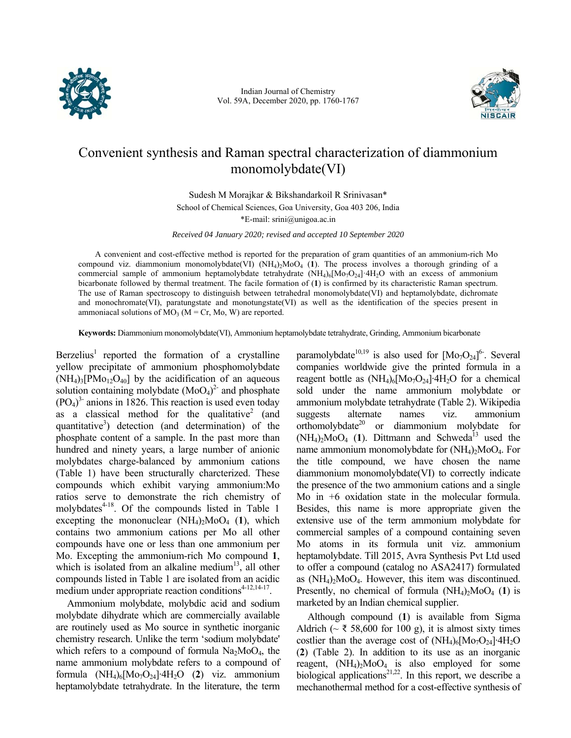

Indian Journal of Chemistry Vol. 59A, December 2020, pp. 1760-1767



# Convenient synthesis and Raman spectral characterization of diammonium monomolybdate(VI)

Sudesh M Morajkar & Bikshandarkoil R Srinivasan\* School of Chemical Sciences, Goa University, Goa 403 206, India \*E-mail: srini@unigoa.ac.in

*Received 04 January 2020; revised and accepted 10 September 2020* 

A convenient and cost-effective method is reported for the preparation of gram quantities of an ammonium-rich Mo compound viz. diammonium monomolybdate(VI) (NH<sub>4</sub>)<sub>2</sub>MoO<sub>4</sub> (1). The process involves a thorough grinding of a commercial sample of ammonium heptamolybdate tetrahydrate  $(NH_4)_6[M_07O_{24}]$ <sup>4</sup>H<sub>2</sub>O with an excess of ammonium bicarbonate followed by thermal treatment. The facile formation of (**1**) is confirmed by its characteristic Raman spectrum. The use of Raman spectroscopy to distinguish between tetrahedral monomolybdate(VI) and heptamolybdate, dichromate and monochromate(VI), paratungstate and monotungstate(VI) as well as the identification of the species present in ammoniacal solutions of  $MO_3$  (M = Cr, Mo, W) are reported.

**Keywords:** Diammonium monomolybdate(VI), Ammonium heptamolybdate tetrahydrate, Grinding, Ammonium bicarbonate

Berzelius<sup>1</sup> reported the formation of a crystalline yellow precipitate of ammonium phosphomolybdate  $(NH_4)_3[PMo_{12}O_{40}]$  by the acidification of an aqueous solution containing molybdate  $(MoO<sub>4</sub>)<sup>2</sup>$  and phosphate  $(PO<sub>4</sub>)<sup>3</sup>$  anions in 1826. This reaction is used even today as a classical method for the qualitative<sup>2</sup> (and quantitative<sup>3</sup>) detection (and determination) of the phosphate content of a sample. In the past more than hundred and ninety years, a large number of anionic molybdates charge-balanced by ammonium cations (Table 1) have been structurally charcterized. These compounds which exhibit varying ammonium:Mo ratios serve to demonstrate the rich chemistry of molybdates $4-18$ . Of the compounds listed in Table 1 excepting the mononuclear  $(NH_4)_2MO_4$  (1), which contains two ammonium cations per Mo all other compounds have one or less than one ammonium per Mo. Excepting the ammonium-rich Mo compound **1**, which is isolated from an alkaline medium<sup>13</sup>, all other compounds listed in Table 1 are isolated from an acidic medium under appropriate reaction conditions $4-12,14-17$ .

Ammonium molybdate, molybdic acid and sodium molybdate dihydrate which are commercially available are routinely used as Mo source in synthetic inorganic chemistry research. Unlike the term 'sodium molybdate' which refers to a compound of formula  $Na<sub>2</sub>MoO<sub>4</sub>$ , the name ammonium molybdate refers to a compound of formula (NH4)6[Mo7O24]∙4H2O (**2**) viz. ammonium heptamolybdate tetrahydrate. In the literature, the term

paramolybdate<sup>10,19</sup> is also used for  $[Mo_7O_{24}]^6$ . Several companies worldwide give the printed formula in a reagent bottle as  $(NH_4)_6[M_07O_{24}]\cdot 4H_2O$  for a chemical sold under the name ammonium molybdate or ammonium molybdate tetrahydrate (Table 2). Wikipedia suggests alternate names viz. ammonium orthomolybdate<sup>20</sup> or diammonium molybdate for  $(NH_4)_2MO_4$  (1). Dittmann and Schweda<sup>13</sup> used the name ammonium monomolybdate for  $(NH_4)$ <sub>2</sub>MoO<sub>4</sub>. For the title compound, we have chosen the name diammonium monomolybdate(VI) to correctly indicate the presence of the two ammonium cations and a single Mo in +6 oxidation state in the molecular formula. Besides, this name is more appropriate given the extensive use of the term ammonium molybdate for commercial samples of a compound containing seven Mo atoms in its formula unit viz. ammonium heptamolybdate. Till 2015, Avra Synthesis Pvt Ltd used to offer a compound (catalog no ASA2417) formulated as  $(NH_4)$ <sub>2</sub>MoO<sub>4</sub>. However, this item was discontinued. Presently, no chemical of formula  $(NH_4)$ <sub>2</sub>MoO<sub>4</sub> (1) is marketed by an Indian chemical supplier.

Although compound (**1**) is available from Sigma Aldrich ( $\sim \xi$  58,600 for 100 g), it is almost sixty times costlier than the average cost of  $(NH_4)_6[M_07O_{24}]\cdot4H_2O$ (**2**) (Table 2). In addition to its use as an inorganic reagent,  $(NH_4)_2MoO_4$  is also employed for some biological applications $2^{1,22}$ . In this report, we describe a mechanothermal method for a cost-effective synthesis of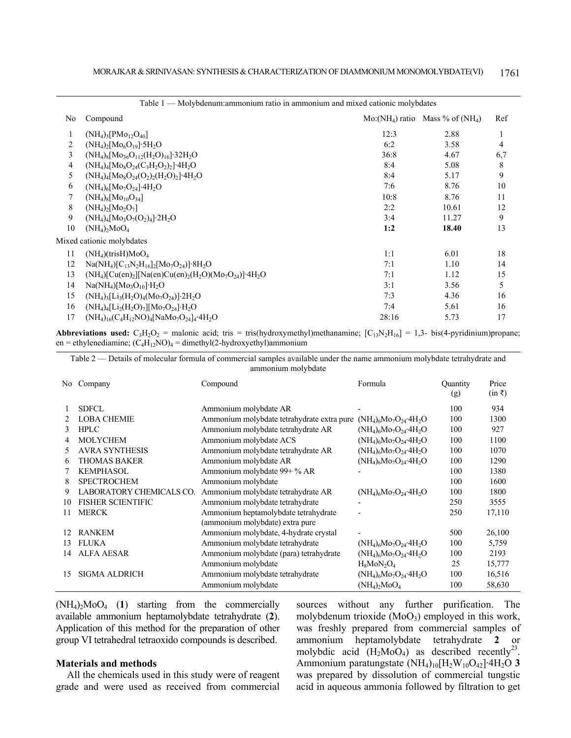| Table 1 — Molybdenum: ammonium ratio in ammonium and mixed cationic molybdates |                                                                                                                                   |       |                                      |     |  |  |  |  |
|--------------------------------------------------------------------------------|-----------------------------------------------------------------------------------------------------------------------------------|-------|--------------------------------------|-----|--|--|--|--|
| No                                                                             | Compound                                                                                                                          |       | $Mo:(NH_4)$ ratio Mass % of $(NH_4)$ | Ref |  |  |  |  |
|                                                                                | $(NH_4)$ <sub>3</sub> $[PMo_{12}O_{40}]$                                                                                          | 12:3  | 2.88                                 |     |  |  |  |  |
| $\overline{2}$                                                                 | $(NH_4)_2[Mo_6O_{19}] \cdot 5H_2O$                                                                                                | 6:2   | 3.58                                 | 4   |  |  |  |  |
| 3                                                                              | $(NH_4)_8[Mo_{36}O_{112}(H_2O)_{16}]$ 32H <sub>2</sub> O                                                                          | 36:8  | 4.67                                 | 6,7 |  |  |  |  |
| 4                                                                              | $(NH_4)_4[Mo_8O_{24}(C_3H_2O_2)_2]$ <sup>-4</sup> H <sub>2</sub> O                                                                | 8:4   | 5.08                                 | 8   |  |  |  |  |
| 5                                                                              | $(NH_4)_4[M_0gO_{24}(O_2)_2(H_2O)_2]$ <sup>-4</sup> H <sub>2</sub> O                                                              | 8:4   | 5.17                                 | 9   |  |  |  |  |
| 6                                                                              | $(NH_4)_6[Mo_7O_{24}]$ -4H <sub>2</sub> O                                                                                         | 7:6   | 8.76                                 | 10  |  |  |  |  |
| 7                                                                              | $(NH_4)_8[Mo_{10}O_{34}]$                                                                                                         | 10:8  | 8.76                                 | 11  |  |  |  |  |
| 8                                                                              | $(NH_4)_2[Mo_2O_7]$                                                                                                               | 2:2   | 10.61                                | 12  |  |  |  |  |
| 9                                                                              | $(NH_4)_4[M_0_3O_7(O_2)_4]$ 2H <sub>2</sub> O                                                                                     | 3:4   | 11.27                                | 9   |  |  |  |  |
| 10                                                                             | $(NH_4)_2MO_4$                                                                                                                    | 1:2   | 18.40                                | 13  |  |  |  |  |
|                                                                                | Mixed cationic molybdates                                                                                                         |       |                                      |     |  |  |  |  |
| 11                                                                             | $(NH4)(trisH)MoO4$                                                                                                                | 1:1   | 6.01                                 | 18  |  |  |  |  |
| 12                                                                             | $Na(NH_4)[C_{13}N_2H_{16}]_2[M_0Q_{24}]$ 8H <sub>2</sub> O                                                                        | 7:1   | 1.10                                 | 14  |  |  |  |  |
| 13                                                                             | $(NH_4)$ [Cu(en) <sub>2</sub> ][Na(en)Cu(en) <sub>2</sub> (H <sub>2</sub> O)(Mo <sub>7</sub> O <sub>24</sub> )]·4H <sub>2</sub> O | 7:1   | 1.12                                 | 15  |  |  |  |  |
| 14                                                                             | $Na(NH4)[Mo3O10]·H2O$                                                                                                             | 3:1   | 3.56                                 | 5   |  |  |  |  |
| 15                                                                             | $(NH_4)$ <sub>3</sub> [Li <sub>3</sub> (H <sub>2</sub> O) <sub>4</sub> (M <sub>O7</sub> O <sub>24</sub> )] 2H <sub>2</sub> O      | 7:3   | 4.36                                 | 16  |  |  |  |  |
| 16                                                                             | $(NH_4)_4[L_2(H_2O)_7][Mo_7O_{24}]H_2O$                                                                                           | 7:4   | 5.61                                 | 16  |  |  |  |  |
| 17                                                                             | $(NH_4)_{16}(C_4H_{12}NO)_4[NaMo_7O_{24}]_4.4H_2O$                                                                                | 28:16 | 5.73                                 | 17  |  |  |  |  |
|                                                                                |                                                                                                                                   |       |                                      |     |  |  |  |  |

**Abbreviations used:**  $C_3H_2O_2$  = malonic acid; tris = tris(hydroxymethyl)methanamine;  $[C_{13}N_2H_{16}] = 1,3$ - bis(4-pyridinium)propane; en = ethylenediamine;  $(C_4H_{12}NO)_4$  = dimethyl(2-hydroxyethyl)ammonium

Table 2 — Details of molecular formula of commercial samples available under the name ammonium molybdate tetrahydrate and ammonium molybdate

| No | Company                  | Compound                                   | Formula                                              | Quantity<br>(g) | Price<br>$(in \bar{z})$ |
|----|--------------------------|--------------------------------------------|------------------------------------------------------|-----------------|-------------------------|
|    | <b>SDFCL</b>             | Ammonium molybdate AR                      |                                                      | 100             | 934                     |
|    | <b>LOBA CHEMIE</b>       | Ammonium molybdate tetrahydrate extra pure | $(NH_4)_6M_9O_{24}$ 4H <sub>2</sub> O                | 100             | 1300                    |
| 3  | <b>HPLC</b>              | Ammonium molybdate tetrahydrate AR         | $(NH_4)_6M_9O_{24}$ 4H <sub>2</sub> O                | 100             | 927                     |
|    | MOLYCHEM                 | Ammonium molybdate ACS                     | $(NH_4)_6Mo_7O_{24}·4H_2O$                           | 100             | 1100                    |
|    | <b>AVRA SYNTHESIS</b>    | Ammonium molybdate tetrahydrate AR         | $(NH_4)_6M_9O_{24}$ 4H <sub>2</sub> O                | 100             | 1070                    |
| 6  | <b>THOMAS BAKER</b>      | Ammonium molybdate AR                      | $(NH_4)_{6}Mo_{7}O_{24}$ 4H <sub>2</sub> O           | 100             | 1290                    |
|    | <b>KEMPHASOL</b>         | Ammonium molybdate 99+ % AR                |                                                      | 100             | 1380                    |
| 8  | <b>SPECTROCHEM</b>       | Ammonium molybdate                         |                                                      | 100             | 1600                    |
| 9  | LABORATORY CHEMICALS CO. | Ammonium molybdate tetrahydrate AR         | $(NH_4)_6M_9O_{24}$ 4H <sub>2</sub> O                | 100             | 1800                    |
| 10 | <b>FISHER SCIENTIFIC</b> | Ammonium molybdate tetrahydrate            |                                                      | 250             | 3555                    |
| 11 | <b>MERCK</b>             | Ammonium heptamolybdate tetrahydrate       |                                                      | 250             | 17,110                  |
|    |                          | (ammonium molybdate) extra pure            |                                                      |                 |                         |
|    | <b>RANKEM</b>            | Ammonium molybdate, 4-hydrate crystal      |                                                      | 500             | 26,100                  |
| 13 | <b>FLUKA</b>             | Ammonium molybdate tetrahydrate            | $(NH_4)_6Mo_7O_{24}·4H_2O$                           | 100             | 5,759                   |
| 14 | <b>ALFA AESAR</b>        | Ammonium molybdate (para) tetrahydrate     | $(NH_4)_6Mo_7O_{24}·4H_2O$                           | 100             | 2193                    |
|    |                          | Ammonium molybdate                         | $H_8$ MoN <sub>2</sub> O <sub>4</sub>                | 25              | 15,777                  |
| 15 | <b>SIGMA ALDRICH</b>     | Ammonium molybdate tetrahydrate            | $(NH_4)$ <sub>6</sub> $Mo_7O_{24}$ 4H <sub>2</sub> O | 100             | 16,516                  |
|    |                          | Ammonium molybdate                         | $(NH_4)$ <sub>2</sub> $MO_4$                         | 100             | 58,630                  |

(NH4)2MoO4 (**1**) starting from the commercially available ammonium heptamolybdate tetrahydrate (**2**). Application of this method for the preparation of other group VI tetrahedral tetraoxido compounds is described.

# **Materials and methods**

All the chemicals used in this study were of reagent grade and were used as received from commercial sources without any further purification. The molybdenum trioxide  $(MoO<sub>3</sub>)$  employed in this work, was freshly prepared from commercial samples of ammonium heptamolybdate tetrahydrate **2** or molybdic acid  $(H_2MOQ_4)$  as described recently<sup>23</sup>. Ammonium paratungstate (NH4)10[H2W10O42]∙4H2O **3** was prepared by dissolution of commercial tungstic acid in aqueous ammonia followed by filtration to get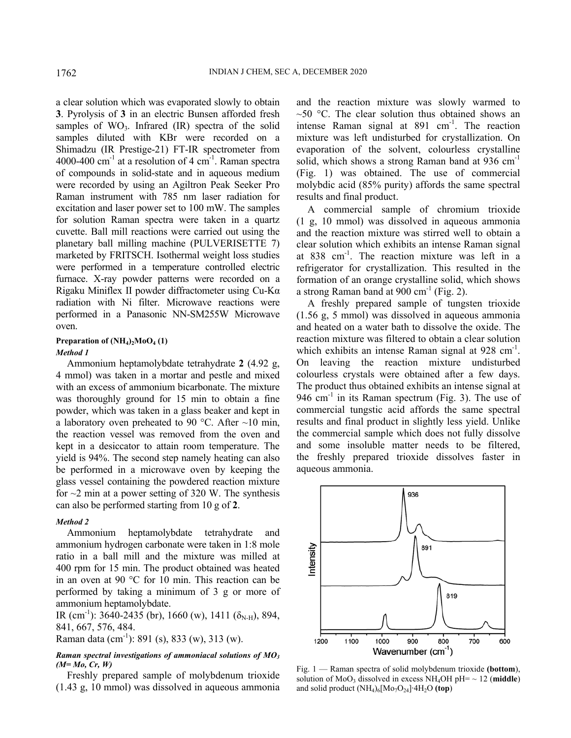a clear solution which was evaporated slowly to obtain **3**. Pyrolysis of **3** in an electric Bunsen afforded fresh samples of  $WO_3$ . Infrared  $(IR)$  spectra of the solid samples diluted with KBr were recorded on a Shimadzu (IR Prestige-21) FT-IR spectrometer from 4000-400 cm<sup>-1</sup> at a resolution of 4 cm<sup>-1</sup>. Raman spectra of compounds in solid-state and in aqueous medium were recorded by using an Agiltron Peak Seeker Pro Raman instrument with 785 nm laser radiation for excitation and laser power set to 100 mW. The samples for solution Raman spectra were taken in a quartz cuvette. Ball mill reactions were carried out using the planetary ball milling machine (PULVERISETTE 7) marketed by FRITSCH. Isothermal weight loss studies were performed in a temperature controlled electric furnace. X-ray powder patterns were recorded on a Rigaku Miniflex II powder diffractometer using Cu-Kα radiation with Ni filter. Microwave reactions were performed in a Panasonic NN-SM255W Microwave oven.

### Preparation of  $(NH_4)_2MO_4(1)$

#### *Method 1*

Ammonium heptamolybdate tetrahydrate **2** (4.92 g, 4 mmol) was taken in a mortar and pestle and mixed with an excess of ammonium bicarbonate. The mixture was thoroughly ground for 15 min to obtain a fine powder, which was taken in a glass beaker and kept in a laboratory oven preheated to 90 °C. After  $\sim$ 10 min, the reaction vessel was removed from the oven and kept in a desiccator to attain room temperature. The yield is 94%. The second step namely heating can also be performed in a microwave oven by keeping the glass vessel containing the powdered reaction mixture for  $\sim$ 2 min at a power setting of 320 W. The synthesis can also be performed starting from 10 g of **2**.

# *Method 2*

Ammonium heptamolybdate tetrahydrate and ammonium hydrogen carbonate were taken in 1:8 mole ratio in a ball mill and the mixture was milled at 400 rpm for 15 min. The product obtained was heated in an oven at 90 °C for 10 min. This reaction can be performed by taking a minimum of 3 g or more of ammonium heptamolybdate.

IR (cm<sup>-1</sup>): 3640-2435 (br), 1660 (w), 1411 ( $\delta_{N-H}$ ), 894, 841, 667, 576, 484.

Raman data (cm<sup>-1</sup>): 891 (s), 833 (w), 313 (w).

# *Raman spectral investigations of ammoniacal solutions of MO3 (M= Mo, Cr, W)*

Freshly prepared sample of molybdenum trioxide (1.43 g, 10 mmol) was dissolved in aqueous ammonia

and the reaction mixture was slowly warmed to  $\sim$ 50 °C. The clear solution thus obtained shows an intense Raman signal at  $891 \text{ cm}^3$ . The reaction mixture was left undisturbed for crystallization. On evaporation of the solvent, colourless crystalline solid, which shows a strong Raman band at  $936 \text{ cm}^{-1}$ (Fig. 1) was obtained. The use of commercial molybdic acid (85% purity) affords the same spectral results and final product.

A commercial sample of chromium trioxide (1 g, 10 mmol) was dissolved in aqueous ammonia and the reaction mixture was stirred well to obtain a clear solution which exhibits an intense Raman signal at 838 cm-1. The reaction mixture was left in a refrigerator for crystallization. This resulted in the formation of an orange crystalline solid, which shows a strong Raman band at  $900 \text{ cm}^{-1}$  (Fig. 2).

A freshly prepared sample of tungsten trioxide (1.56 g, 5 mmol) was dissolved in aqueous ammonia and heated on a water bath to dissolve the oxide. The reaction mixture was filtered to obtain a clear solution which exhibits an intense Raman signal at  $928 \text{ cm}^{-1}$ . On leaving the reaction mixture undisturbed colourless crystals were obtained after a few days. The product thus obtained exhibits an intense signal at 946 cm<sup>-1</sup> in its Raman spectrum (Fig. 3). The use of commercial tungstic acid affords the same spectral results and final product in slightly less yield. Unlike the commercial sample which does not fully dissolve and some insoluble matter needs to be filtered, the freshly prepared trioxide dissolves faster in aqueous ammonia.



Fig. 1 — Raman spectra of solid molybdenum trioxide **(bottom**), solution of MoO<sub>3</sub> dissolved in excess NH<sub>4</sub>OH pH=  $\sim$  12 (middle) and solid product (NH4)6[Mo7O24]∙4H2O **(top**)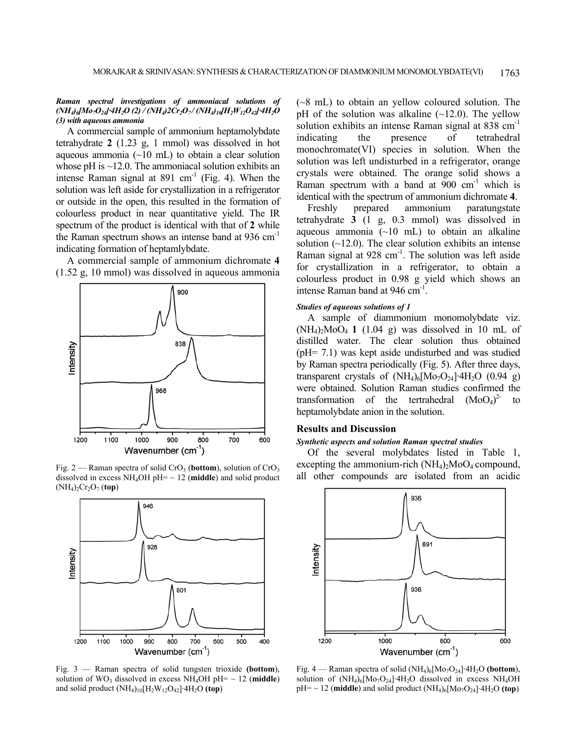### *Raman spectral investigations of ammoniacal solutions of (NH4)6[Mo7O24]ꞏ4H2O (2) / (NH4)2Cr2O7 / (NH4)10[H2W12O42]ꞏ4H2O (3) with aqueous ammonia*

A commercial sample of ammonium heptamolybdate tetrahydrate **2** (1.23 g, 1 mmol) was dissolved in hot aqueous ammonia  $(\sim 10 \text{ mL})$  to obtain a clear solution whose pH is  $\sim$ 12.0. The ammoniacal solution exhibits an intense Raman signal at  $891 \text{ cm}^{-1}$  (Fig. 4). When the solution was left aside for crystallization in a refrigerator or outside in the open, this resulted in the formation of colourless product in near quantitative yield. The IR spectrum of the product is identical with that of **2** while the Raman spectrum shows an intense band at 936 cm<sup>-1</sup> indicating formation of heptamlybdate.

A commercial sample of ammonium dichromate **4** (1.52 g, 10 mmol) was dissolved in aqueous ammonia



dissolved in excess  $NH_4OH$  pH=  $\sim$  12 (middle) and solid product  $(NH_4)_2Cr_2O_7$  (**top**)



Fig. 3 — Raman spectra of solid tungsten trioxide **(bottom**), solution of WO<sub>3</sub> dissolved in excess NH<sub>4</sub>OH pH=  $\sim$  12 (middle) and solid product (NH4)10[H2W12O42]∙4H2O **(top**)

(~8 mL) to obtain an yellow coloured solution. The pH of the solution was alkaline  $(\sim 12.0)$ . The yellow solution exhibits an intense Raman signal at 838 cm<sup>-1</sup> indicating the presence of tetrahedral monochromate(VI) species in solution. When the solution was left undisturbed in a refrigerator, orange crystals were obtained. The orange solid shows a Raman spectrum with a band at  $900 \text{ cm}^{-1}$  which is identical with the spectrum of ammonium dichromate **4**.

Freshly prepared ammonium paratungstate tetrahydrate **3** (1 g, 0.3 mmol) was dissolved in aqueous ammonia  $(\sim 10$  mL) to obtain an alkaline solution  $(\sim 12.0)$ . The clear solution exhibits an intense Raman signal at  $928 \text{ cm}^{-1}$ . The solution was left aside for crystallization in a refrigerator, to obtain a colourless product in 0.98 g yield which shows an intense Raman band at 946 cm<sup>-1</sup>.

# *Studies of aqueous solutions of 1*

A sample of diammonium monomolybdate viz.  $(NH_4)_{2}MoO_4$  **1** (1.04 g) was dissolved in 10 mL of distilled water. The clear solution thus obtained (pH= 7.1) was kept aside undisturbed and was studied by Raman spectra periodically (Fig. 5). After three days, transparent crystals of  $(NH<sub>4</sub>)<sub>6</sub>[Mo<sub>7</sub>O<sub>24</sub>]·4H<sub>2</sub>O (0.94 g)$ were obtained. Solution Raman studies confirmed the transformation of the tertrahedral  $(MoO<sub>4</sub>)<sup>2</sup>$  to heptamolybdate anion in the solution.

# **Results and Discussion**

# *Synthetic aspects and solution Raman spectral studies*

Of the several molybdates listed in Table 1, excepting the ammonium-rich  $(NH_4)$ <sub>2</sub>MoO<sub>4</sub> compound, Fig. 2 — Raman spectra of solid CrO<sub>3</sub> (bottom), solution of CrO<sub>3</sub> excepting the ammonium-rich (NH<sub>4</sub>)<sub>2</sub>MoO<sub>4</sub> compound, dissolved in excess NH<sub>4</sub>OH pH= ~ 12 (middle) and solid product all other compounds are isolated f



Fig. 4 — Raman spectra of solid (NH4)6[Mo7O24]∙4H2O **(bottom**), solution of (NH<sub>4</sub>)<sub>6</sub>[Mo<sub>7</sub>O<sub>24</sub>]⋅4H<sub>2</sub>O dissolved in excess NH<sub>4</sub>OH pH= ~ 12 (**middle**) and solid product (NH<sub>4</sub>)<sub>6</sub>[Mo<sub>7</sub>O<sub>24</sub>]⋅4H<sub>2</sub>O (top)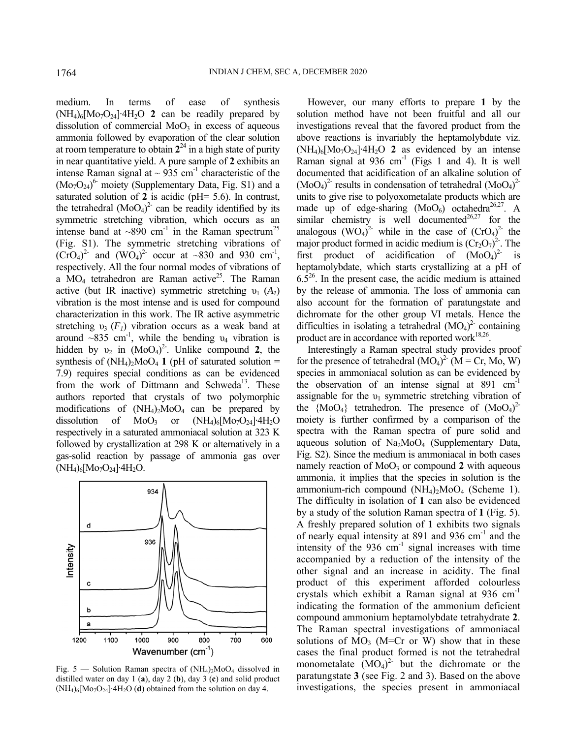medium. In terms of ease of synthesis (NH4)6[Mo7O24]∙4H2O **2** can be readily prepared by dissolution of commercial  $MoO<sub>3</sub>$  in excess of aqueous ammonia followed by evaporation of the clear solution at room temperature to obtain  $2^{24}$  in a high state of purity in near quantitative yield. A pure sample of **2** exhibits an intense Raman signal at  $\sim$  935 cm<sup>-1</sup> characteristic of the  $(Mo<sub>7</sub>O<sub>24</sub>)<sup>6</sup>$  moiety (Supplementary Data, Fig. S1) and a saturated solution of **2** is acidic (pH= 5.6). In contrast, the tetrahedral  $(MoO<sub>4</sub>)<sup>2</sup>$  can be readily identified by its symmetric stretching vibration, which occurs as an intense band at  $\sim 890$  cm<sup>-1</sup> in the Raman spectrum<sup>25</sup> (Fig. S1). The symmetric stretching vibrations of  $(CrO<sub>4</sub>)<sup>2</sup>$  and  $(WO<sub>4</sub>)<sup>2</sup>$  occur at ~830 and 930 cm<sup>-1</sup>, respectively. All the four normal modes of vibrations of a  $MO_4$  tetrahedron are Raman active<sup>25</sup>. The Raman active (but IR inactive) symmetric stretching  $v_1$  ( $A_1$ ) vibration is the most intense and is used for compound characterization in this work. The IR active asymmetric stretching  $v_3$  ( $F_1$ ) vibration occurs as a weak band at around  $\sim 835$  cm<sup>-1</sup>, while the bending  $v_4$  vibration is hidden by  $v_2$  in  $(MoO_4)^2$ . Unlike compound 2, the synthesis of  $(NH_4)_{2}MoO_4$  1 (pH of saturated solution = 7.9) requires special conditions as can be evidenced from the work of Dittmann and Schweda<sup>13</sup>. These authors reported that crystals of two polymorphic modifications of  $(NH_4)_2MOQ_4$  can be prepared by dissolution of MoO<sub>3</sub> or  $(NH_4)_6[M_07O_{24}]{}$ ∙4H<sub>2</sub>O respectively in a saturated ammoniacal solution at 323 K followed by crystallization at 298 K or alternatively in a gas-solid reaction by passage of ammonia gas over (NH<sub>4</sub>)<sub>6</sub>[Mo<sub>7</sub>O<sub>24</sub>]∙4H<sub>2</sub>O.



Fig. 5 — Solution Raman spectra of  $(NH_4)_2MoO_4$  dissolved in distilled water on day 1 (**a**), day 2 (**b**), day 3 (**c**) and solid product (NH4)6[Mo7O24]∙4H2O (**d**) obtained from the solution on day 4.

However, our many efforts to prepare **1** by the solution method have not been fruitful and all our investigations reveal that the favored product from the above reactions is invariably the heptamolybdate viz. (NH4)6[Mo7O24]∙4H2O **2** as evidenced by an intense Raman signal at  $936$  cm<sup>-1</sup> (Figs 1 and 4). It is well documented that acidification of an alkaline solution of  $(MoO<sub>4</sub>)<sup>2</sup>$  results in condensation of tetrahedral  $(MoO<sub>4</sub>)<sup>2</sup>$ units to give rise to polyoxometalate products which are made up of edge-sharing  $(MoO<sub>6</sub>)$  octahedra<sup>26,27</sup>. A similar chemistry is well documented<sup>26,27</sup> for the analogous  $(WO_4)^2$  while in the case of  $(CrO_4)^2$  the major product formed in acidic medium is  $(\text{Cr}_2\text{O}_7)^2$ . The first product of acidification of  $(MoO<sub>4</sub>)<sup>2</sup>$  is heptamolybdate, which starts crystallizing at a pH of  $6.5<sup>26</sup>$ . In the present case, the acidic medium is attained by the release of ammonia. The loss of ammonia can also account for the formation of paratungstate and dichromate for the other group VI metals. Hence the difficulties in isolating a tetrahedral  $(MO<sub>4</sub>)<sup>2</sup>$  containing product are in accordance with reported work $18,26$ .

Interestingly a Raman spectral study provides proof for the presence of tetrahedral  $(MO<sub>4</sub>)<sup>2</sup>$  (M = Cr, Mo, W) species in ammoniacal solution as can be evidenced by the observation of an intense signal at  $891 \text{ cm}^{-1}$ assignable for the  $v_1$  symmetric stretching vibration of the  ${M_0O_4}$  tetrahedron. The presence of  $(M_0O_4)^2$ moiety is further confirmed by a comparison of the spectra with the Raman spectra of pure solid and aqueous solution of  $Na<sub>2</sub>MoO<sub>4</sub>$  (Supplementary Data, Fig. S2). Since the medium is ammoniacal in both cases namely reaction of  $MoO<sub>3</sub>$  or compound 2 with aqueous ammonia, it implies that the species in solution is the ammonium-rich compound  $(NH_4)_{2}MoO_4$  (Scheme 1). The difficulty in isolation of **1** can also be evidenced by a study of the solution Raman spectra of **1** (Fig. 5). A freshly prepared solution of **1** exhibits two signals of nearly equal intensity at 891 and 936 cm<sup>-1</sup> and the intensity of the  $936 \text{ cm}^{-1}$  signal increases with time accompanied by a reduction of the intensity of the other signal and an increase in acidity. The final product of this experiment afforded colourless crystals which exhibit a Raman signal at 936 cm-1 indicating the formation of the ammonium deficient compound ammonium heptamolybdate tetrahydrate **2**. The Raman spectral investigations of ammoniacal solutions of  $MO_3$  (M=Cr or W) show that in these cases the final product formed is not the tetrahedral monometalate  $(MO<sub>4</sub>)<sup>2</sup>$  but the dichromate or the paratungstate **3** (see Fig. 2 and 3). Based on the above investigations, the species present in ammoniacal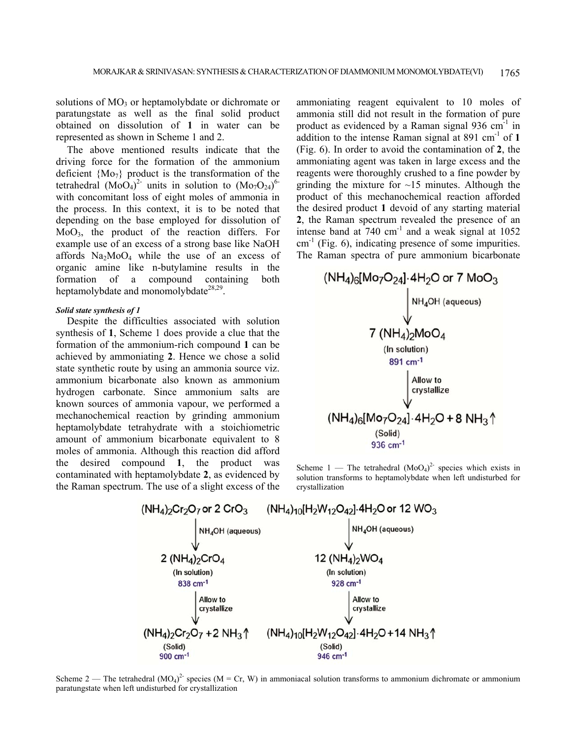solutions of  $MO<sub>3</sub>$  or heptamolybdate or dichromate or paratungstate as well as the final solid product obtained on dissolution of **1** in water can be represented as shown in Scheme 1 and 2.

The above mentioned results indicate that the driving force for the formation of the ammonium deficient  ${MO_7}$  product is the transformation of the tetrahedral  $(Mo\tilde{O}_4)^2$  units in solution to  $(Mo_7O_{24})^{6}$ with concomitant loss of eight moles of ammonia in the process. In this context, it is to be noted that depending on the base employed for dissolution of MoO3, the product of the reaction differs. For example use of an excess of a strong base like NaOH affords  $Na<sub>2</sub>MoO<sub>4</sub>$  while the use of an excess of organic amine like n-butylamine results in the formation of a compound containing both heptamolybdate and monomolybdate<sup>28,29</sup>.

# *Solid state synthesis of 1*

Despite the difficulties associated with solution synthesis of **1**, Scheme 1 does provide a clue that the formation of the ammonium-rich compound **1** can be achieved by ammoniating **2**. Hence we chose a solid state synthetic route by using an ammonia source viz. ammonium bicarbonate also known as ammonium hydrogen carbonate. Since ammonium salts are known sources of ammonia vapour, we performed a mechanochemical reaction by grinding ammonium heptamolybdate tetrahydrate with a stoichiometric amount of ammonium bicarbonate equivalent to 8 moles of ammonia. Although this reaction did afford the desired compound **1**, the product was contaminated with heptamolybdate **2**, as evidenced by the Raman spectrum. The use of a slight excess of the

ammoniating reagent equivalent to 10 moles of ammonia still did not result in the formation of pure product as evidenced by a Raman signal  $936 \text{ cm}^{-1}$  in addition to the intense Raman signal at  $891 \text{ cm}^{-1}$  of 1 (Fig. 6). In order to avoid the contamination of **2**, the ammoniating agent was taken in large excess and the reagents were thoroughly crushed to a fine powder by grinding the mixture for  $\sim$ 15 minutes. Although the product of this mechanochemical reaction afforded the desired product **1** devoid of any starting material **2**, the Raman spectrum revealed the presence of an intense band at  $740 \text{ cm}^1$  and a weak signal at  $1052$  $cm<sup>-1</sup>$  (Fig. 6), indicating presence of some impurities. The Raman spectra of pure ammonium bicarbonate



Scheme  $1$  — The tetrahedral  $(MoO<sub>4</sub>)<sup>2</sup>$  species which exists in solution transforms to heptamolybdate when left undisturbed for crystallization



Scheme 2 — The tetrahedral  $(MO_4)^2$  species  $(M = Cr, W)$  in ammoniacal solution transforms to ammonium dichromate or ammonium paratungstate when left undisturbed for crystallization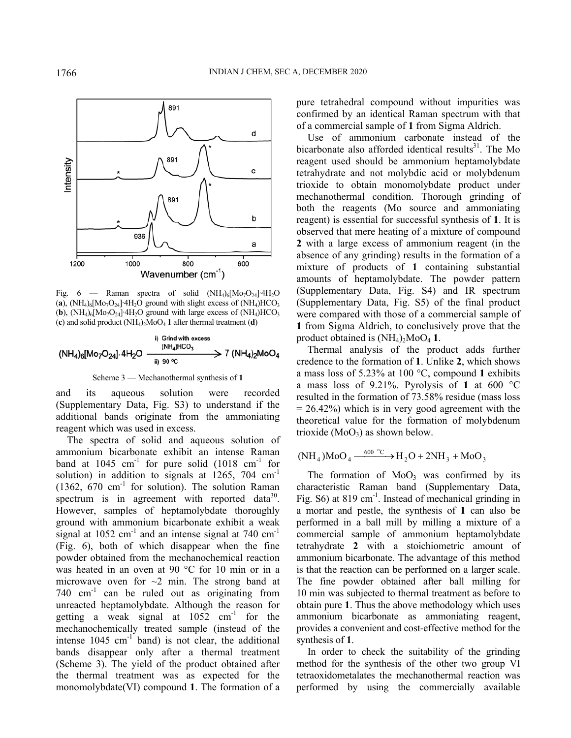

Fig. 6 — Raman spectra of solid  $(NH_4)_6[M_07O_{24}]+H_2O$  $(a)$ , (NH<sub>4</sub>)<sub>6</sub>[Mo<sub>7</sub>O<sub>24</sub>]⋅4H<sub>2</sub>O ground with slight excess of (NH<sub>4</sub>)HCO<sub>3</sub> (**b**), (NH<sub>4</sub>)<sub>6</sub>[Mo<sub>7</sub>O<sub>24</sub>]⋅4H<sub>2</sub>O ground with large excess of (NH<sub>4</sub>)HCO<sub>3</sub>  $(c)$  and solid product  $(NH_4)_{2}MoO_4$  **1** after thermal treatment  $(d)$ 

$$
(NH_4)_6[Mo_7O_{24}].4H_2O \xrightarrow{\text{ (NH}_4)HCO_3} 7 (NH_4)_2MoO_4
$$

Scheme 3 — Mechanothermal synthesis of **1**

and its aqueous solution were recorded (Supplementary Data, Fig. S3) to understand if the additional bands originate from the ammoniating reagent which was used in excess.

The spectra of solid and aqueous solution of ammonium bicarbonate exhibit an intense Raman band at 1045 cm<sup>-1</sup> for pure solid  $(1018 \text{ cm}^{-1}$  for solution) in addition to signals at  $1265$ , 704 cm<sup>-1</sup> (1362,  $670 \text{ cm}^{-1}$  for solution). The solution Raman spectrum is in agreement with reported data<sup>30</sup>. However, samples of heptamolybdate thoroughly ground with ammonium bicarbonate exhibit a weak signal at  $1052 \text{ cm}^{-1}$  and an intense signal at 740 cm<sup>-1</sup> (Fig. 6), both of which disappear when the fine powder obtained from the mechanochemical reaction was heated in an oven at 90 °C for 10 min or in a microwave oven for  $\sim$ 2 min. The strong band at 740  $cm^{-1}$  can be ruled out as originating from unreacted heptamolybdate. Although the reason for getting a weak signal at  $1052 \text{ cm}^{-1}$  for the mechanochemically treated sample (instead of the intense  $1045 \text{ cm}^{-1}$  band) is not clear, the additional bands disappear only after a thermal treatment (Scheme 3). The yield of the product obtained after the thermal treatment was as expected for the monomolybdate(VI) compound **1**. The formation of a

pure tetrahedral compound without impurities was confirmed by an identical Raman spectrum with that of a commercial sample of **1** from Sigma Aldrich.

Use of ammonium carbonate instead of the bicarbonate also afforded identical results $31$ . The Mo reagent used should be ammonium heptamolybdate tetrahydrate and not molybdic acid or molybdenum trioxide to obtain monomolybdate product under mechanothermal condition. Thorough grinding of both the reagents (Mo source and ammoniating reagent) is essential for successful synthesis of **1**. It is observed that mere heating of a mixture of compound **2** with a large excess of ammonium reagent (in the absence of any grinding) results in the formation of a mixture of products of **1** containing substantial amounts of heptamolybdate. The powder pattern (Supplementary Data, Fig. S4) and IR spectrum (Supplementary Data, Fig. S5) of the final product were compared with those of a commercial sample of **1** from Sigma Aldrich, to conclusively prove that the product obtained is  $(NH_4)_2MoO<sub>4</sub>1$ .

Thermal analysis of the product adds further credence to the formation of **1**. Unlike **2**, which shows a mass loss of 5.23% at 100 °C, compound **1** exhibits a mass loss of 9.21%. Pyrolysis of **1** at 600 °C resulted in the formation of 73.58% residue (mass loss  $= 26.42\%$ ) which is in very good agreement with the theoretical value for the formation of molybdenum trioxide  $(MoO<sub>3</sub>)$  as shown below.

$$
(\text{NH}_4)\text{MoO}_4 \xrightarrow{600 \text{ °C}} \text{H}_2\text{O} + 2\text{NH}_3 + \text{MoO}_3
$$

The formation of  $MoO<sub>3</sub>$  was confirmed by its characteristic Raman band (Supplementary Data, Fig.  $S_0$  at 819 cm<sup>-1</sup>. Instead of mechanical grinding in a mortar and pestle, the synthesis of **1** can also be performed in a ball mill by milling a mixture of a commercial sample of ammonium heptamolybdate tetrahydrate **2** with a stoichiometric amount of ammonium bicarbonate. The advantage of this method is that the reaction can be performed on a larger scale. The fine powder obtained after ball milling for 10 min was subjected to thermal treatment as before to obtain pure **1**. Thus the above methodology which uses ammonium bicarbonate as ammoniating reagent, provides a convenient and cost-effective method for the synthesis of **1**.

In order to check the suitability of the grinding method for the synthesis of the other two group VI tetraoxidometalates the mechanothermal reaction was performed by using the commercially available